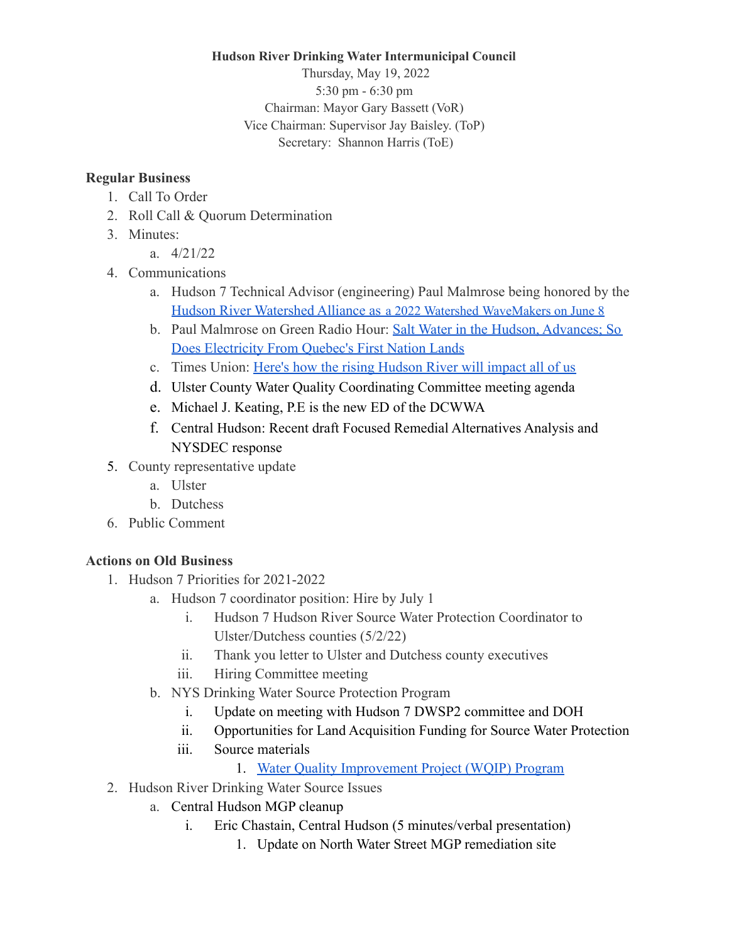## **Hudson River Drinking Water Intermunicipal Council**

Thursday, May 19, 2022 5:30 pm - 6:30 pm Chairman: Mayor Gary Bassett (VoR) Vice Chairman: Supervisor Jay Baisley. (ToP) Secretary: Shannon Harris (ToE)

## **Regular Business**

- 1. Call To Order
- 2. Roll Call & Quorum Determination
- 3. Minutes:
	- a. 4/21/22
- 4. Communications
	- a. Hudson 7 Technical Advisor (engineering) Paul Malmrose being honored by the [Hudson River Watershed Alliance as](https://hudsonwatershed.org/toast-to-the-tribs/) a 2022 Watershed WaveMakers on June 8
	- b. Paul Malmrose on Green Radio Hour: Salt Water in the [Hudson, Advances; So](https://radiokingston.org/en/broadcast/green-radio-hour-w-jon-bowermaster/episodes/salt-water-in-the-hudson-advances-so-does-electricity-from-quebecs-first-nation-lands) [Does Electricity From Quebec's First Nation Lands](https://radiokingston.org/en/broadcast/green-radio-hour-w-jon-bowermaster/episodes/salt-water-in-the-hudson-advances-so-does-electricity-from-quebecs-first-nation-lands)
	- c. Times Union: [Here's how the rising Hudson River will](https://www.timesunion.com/hudsonvalley/news/article/Here-s-how-the-rising-Hudson-RIver-will-impact-16940339.php) impact all of us
	- d. Ulster County Water Quality Coordinating Committee meeting agenda
	- e. Michael J. Keating, P.E is the new ED of the DCWWA
	- f. Central Hudson: Recent draft Focused Remedial Alternatives Analysis and NYSDEC response
- 5. County representative update
	- a. Ulster
	- b. Dutchess
- 6. Public Comment

## **Actions on Old Business**

- 1. Hudson 7 Priorities for 2021-2022
	- a. Hudson 7 coordinator position: Hire by July 1
		- i. Hudson 7 Hudson River Source Water Protection Coordinator to Ulster/Dutchess counties (5/2/22)
		- ii. Thank you letter to Ulster and Dutchess county executives
		- iii. Hiring Committee meeting
	- b. NYS Drinking Water Source Protection Program
		- i. Update on meeting with Hudson 7 DWSP2 committee and DOH
		- ii. Opportunities for Land Acquisition Funding for Source Water Protection
		- iii. Source materials
			- 1. [Water Quality Improvement Project \(WQIP\) Program](https://www.dec.ny.gov/pubs/4774.html)
- 2. Hudson River Drinking Water Source Issues
	- a. Central Hudson MGP cleanup
		- i. Eric Chastain, Central Hudson (5 minutes/verbal presentation)
			- 1. Update on North Water Street MGP remediation site